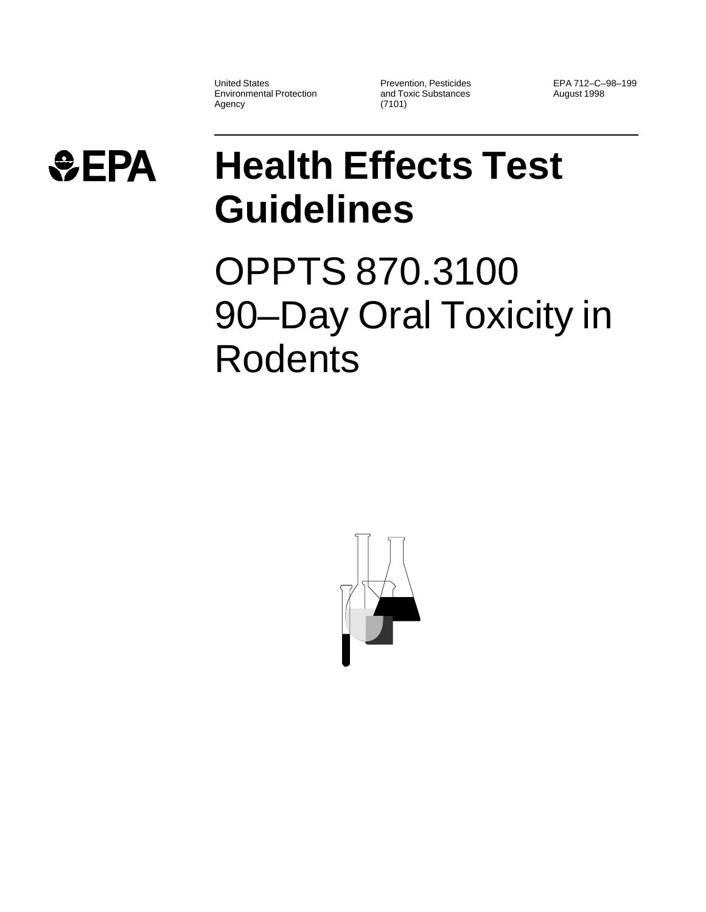United States Environmental Protection Agency

Prevention, Pesticides and Toxic Substances (7101)

EPA 712–C–98–199 August 1998



## **Health Effects Test Guidelines**

OPPTS 870.3100 90–Day Oral Toxicity in Rodents

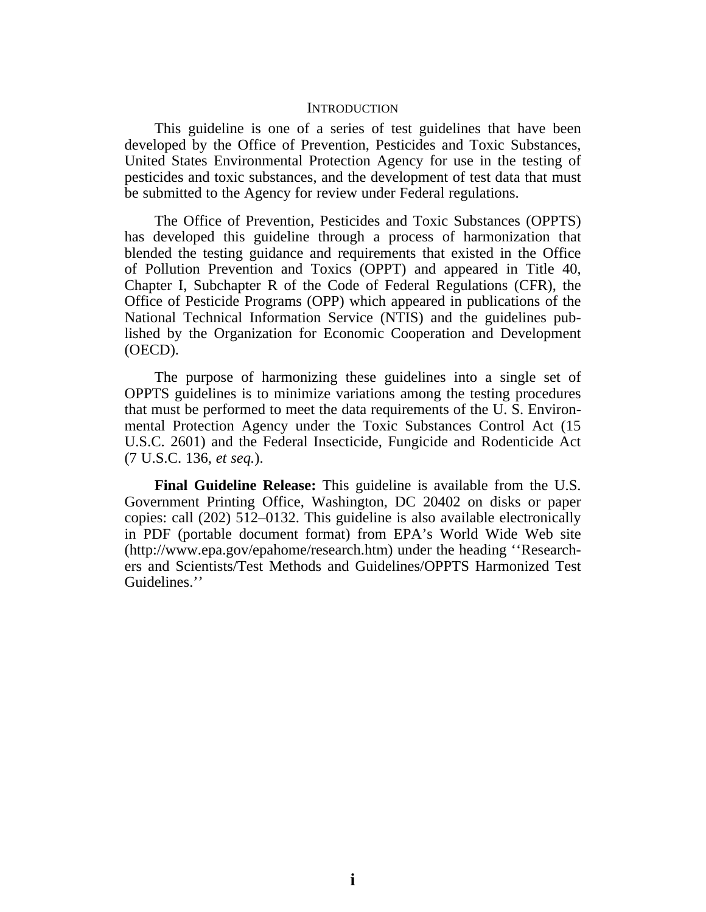## **INTRODUCTION**

This guideline is one of a series of test guidelines that have been developed by the Office of Prevention, Pesticides and Toxic Substances, United States Environmental Protection Agency for use in the testing of pesticides and toxic substances, and the development of test data that must be submitted to the Agency for review under Federal regulations.

The Office of Prevention, Pesticides and Toxic Substances (OPPTS) has developed this guideline through a process of harmonization that blended the testing guidance and requirements that existed in the Office of Pollution Prevention and Toxics (OPPT) and appeared in Title 40, Chapter I, Subchapter R of the Code of Federal Regulations (CFR), the Office of Pesticide Programs (OPP) which appeared in publications of the National Technical Information Service (NTIS) and the guidelines published by the Organization for Economic Cooperation and Development (OECD).

The purpose of harmonizing these guidelines into a single set of OPPTS guidelines is to minimize variations among the testing procedures that must be performed to meet the data requirements of the U. S. Environmental Protection Agency under the Toxic Substances Control Act (15 U.S.C. 2601) and the Federal Insecticide, Fungicide and Rodenticide Act (7 U.S.C. 136, *et seq.*).

**Final Guideline Release:** This guideline is available from the U.S. Government Printing Office, Washington, DC 20402 on disks or paper copies: call (202) 512–0132. This guideline is also available electronically in PDF (portable document format) from EPA's World Wide Web site (http://www.epa.gov/epahome/research.htm) under the heading ''Researchers and Scientists/Test Methods and Guidelines/OPPTS Harmonized Test Guidelines.''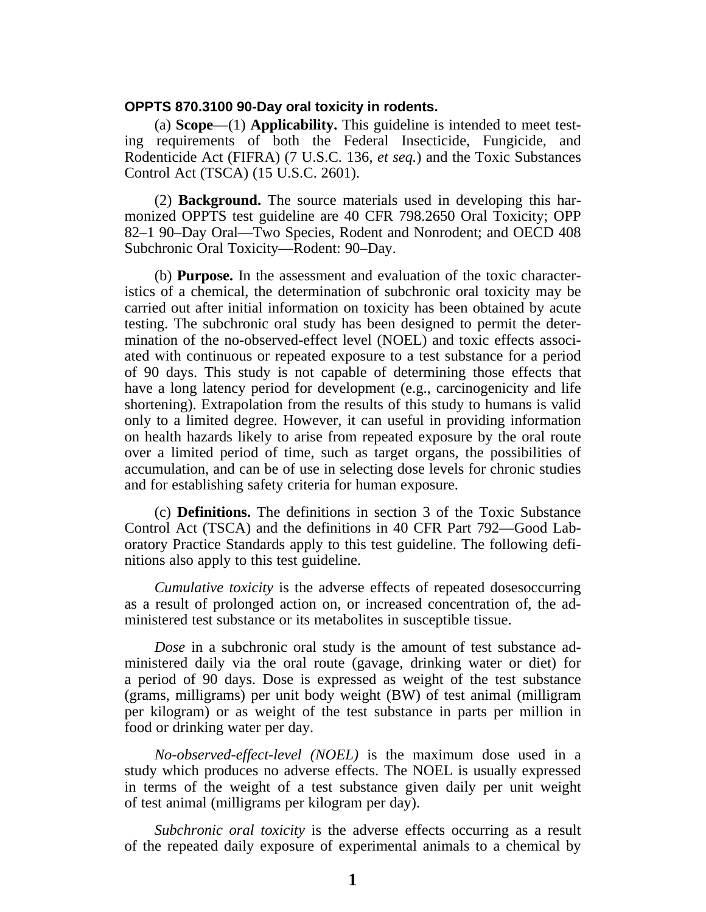## **OPPTS 870.3100 90-Day oral toxicity in rodents.**

(a) **Scope**—(1) **Applicability.** This guideline is intended to meet testing requirements of both the Federal Insecticide, Fungicide, and Rodenticide Act (FIFRA) (7 U.S.C. 136, *et seq.*) and the Toxic Substances Control Act (TSCA) (15 U.S.C. 2601).

(2) **Background.** The source materials used in developing this harmonized OPPTS test guideline are 40 CFR 798.2650 Oral Toxicity; OPP 82–1 90–Day Oral—Two Species, Rodent and Nonrodent; and OECD 408 Subchronic Oral Toxicity—Rodent: 90–Day.

(b) **Purpose.** In the assessment and evaluation of the toxic characteristics of a chemical, the determination of subchronic oral toxicity may be carried out after initial information on toxicity has been obtained by acute testing. The subchronic oral study has been designed to permit the determination of the no-observed-effect level (NOEL) and toxic effects associated with continuous or repeated exposure to a test substance for a period of 90 days. This study is not capable of determining those effects that have a long latency period for development (e.g., carcinogenicity and life shortening). Extrapolation from the results of this study to humans is valid only to a limited degree. However, it can useful in providing information on health hazards likely to arise from repeated exposure by the oral route over a limited period of time, such as target organs, the possibilities of accumulation, and can be of use in selecting dose levels for chronic studies and for establishing safety criteria for human exposure.

(c) **Definitions.** The definitions in section 3 of the Toxic Substance Control Act (TSCA) and the definitions in 40 CFR Part 792—Good Laboratory Practice Standards apply to this test guideline. The following definitions also apply to this test guideline.

*Cumulative toxicity* is the adverse effects of repeated dosesoccurring as a result of prolonged action on, or increased concentration of, the administered test substance or its metabolites in susceptible tissue.

*Dose* in a subchronic oral study is the amount of test substance administered daily via the oral route (gavage, drinking water or diet) for a period of 90 days. Dose is expressed as weight of the test substance (grams, milligrams) per unit body weight (BW) of test animal (milligram per kilogram) or as weight of the test substance in parts per million in food or drinking water per day.

*No-observed-effect-level (NOEL)* is the maximum dose used in a study which produces no adverse effects. The NOEL is usually expressed in terms of the weight of a test substance given daily per unit weight of test animal (milligrams per kilogram per day).

*Subchronic oral toxicity* is the adverse effects occurring as a result of the repeated daily exposure of experimental animals to a chemical by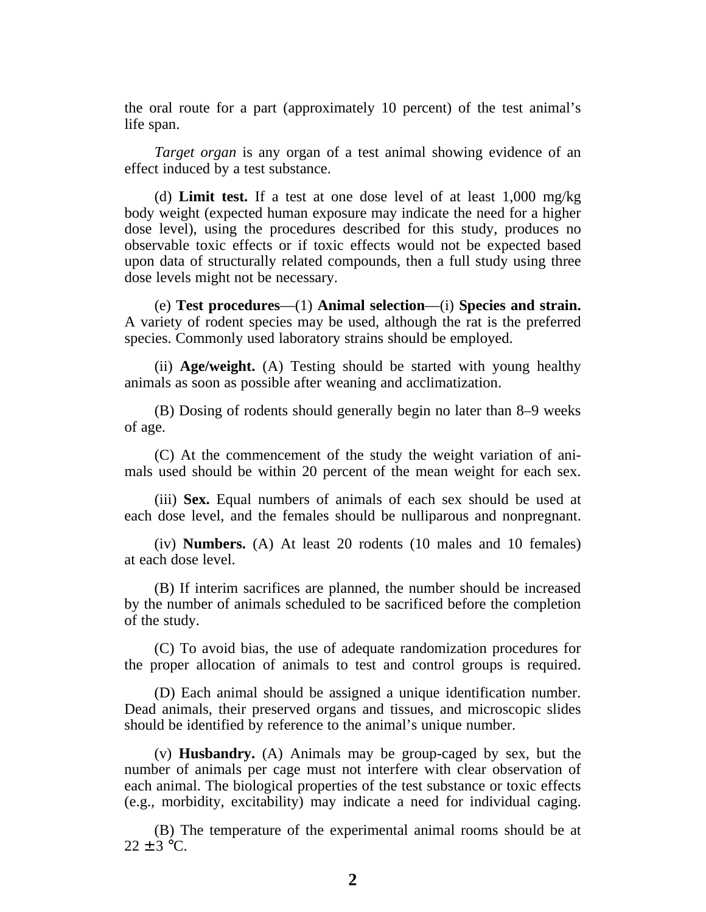the oral route for a part (approximately 10 percent) of the test animal's life span.

*Target organ* is any organ of a test animal showing evidence of an effect induced by a test substance.

(d) **Limit test.** If a test at one dose level of at least 1,000 mg/kg body weight (expected human exposure may indicate the need for a higher dose level), using the procedures described for this study, produces no observable toxic effects or if toxic effects would not be expected based upon data of structurally related compounds, then a full study using three dose levels might not be necessary.

(e) **Test procedures**—(1) **Animal selection**—(i) **Species and strain.** A variety of rodent species may be used, although the rat is the preferred species. Commonly used laboratory strains should be employed.

(ii) **Age/weight.** (A) Testing should be started with young healthy animals as soon as possible after weaning and acclimatization.

(B) Dosing of rodents should generally begin no later than 8–9 weeks of age.

(C) At the commencement of the study the weight variation of animals used should be within 20 percent of the mean weight for each sex.

(iii) **Sex.** Equal numbers of animals of each sex should be used at each dose level, and the females should be nulliparous and nonpregnant.

(iv) **Numbers.** (A) At least 20 rodents (10 males and 10 females) at each dose level.

(B) If interim sacrifices are planned, the number should be increased by the number of animals scheduled to be sacrificed before the completion of the study.

(C) To avoid bias, the use of adequate randomization procedures for the proper allocation of animals to test and control groups is required.

(D) Each animal should be assigned a unique identification number. Dead animals, their preserved organs and tissues, and microscopic slides should be identified by reference to the animal's unique number.

(v) **Husbandry.** (A) Animals may be group-caged by sex, but the number of animals per cage must not interfere with clear observation of each animal. The biological properties of the test substance or toxic effects (e.g., morbidity, excitability) may indicate a need for individual caging.

(B) The temperature of the experimental animal rooms should be at  $22 + 3$  °C.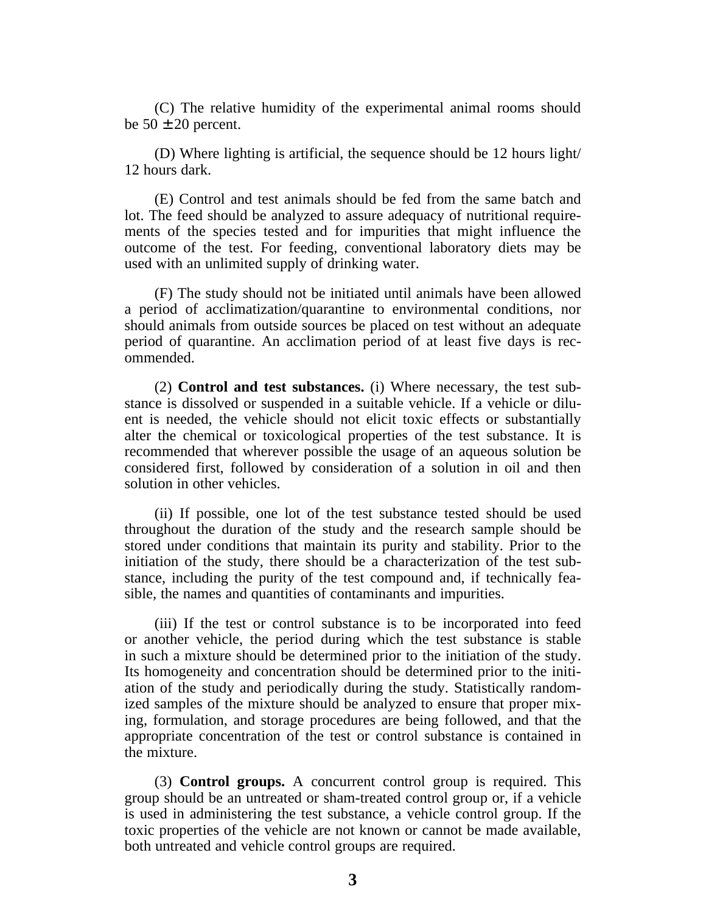(C) The relative humidity of the experimental animal rooms should be  $50 \pm 20$  percent.

(D) Where lighting is artificial, the sequence should be 12 hours light/ 12 hours dark.

(E) Control and test animals should be fed from the same batch and lot. The feed should be analyzed to assure adequacy of nutritional requirements of the species tested and for impurities that might influence the outcome of the test. For feeding, conventional laboratory diets may be used with an unlimited supply of drinking water.

(F) The study should not be initiated until animals have been allowed a period of acclimatization/quarantine to environmental conditions, nor should animals from outside sources be placed on test without an adequate period of quarantine. An acclimation period of at least five days is recommended.

(2) **Control and test substances.** (i) Where necessary, the test substance is dissolved or suspended in a suitable vehicle. If a vehicle or diluent is needed, the vehicle should not elicit toxic effects or substantially alter the chemical or toxicological properties of the test substance. It is recommended that wherever possible the usage of an aqueous solution be considered first, followed by consideration of a solution in oil and then solution in other vehicles.

(ii) If possible, one lot of the test substance tested should be used throughout the duration of the study and the research sample should be stored under conditions that maintain its purity and stability. Prior to the initiation of the study, there should be a characterization of the test substance, including the purity of the test compound and, if technically feasible, the names and quantities of contaminants and impurities.

(iii) If the test or control substance is to be incorporated into feed or another vehicle, the period during which the test substance is stable in such a mixture should be determined prior to the initiation of the study. Its homogeneity and concentration should be determined prior to the initiation of the study and periodically during the study. Statistically randomized samples of the mixture should be analyzed to ensure that proper mixing, formulation, and storage procedures are being followed, and that the appropriate concentration of the test or control substance is contained in the mixture.

(3) **Control groups.** A concurrent control group is required. This group should be an untreated or sham-treated control group or, if a vehicle is used in administering the test substance, a vehicle control group. If the toxic properties of the vehicle are not known or cannot be made available, both untreated and vehicle control groups are required.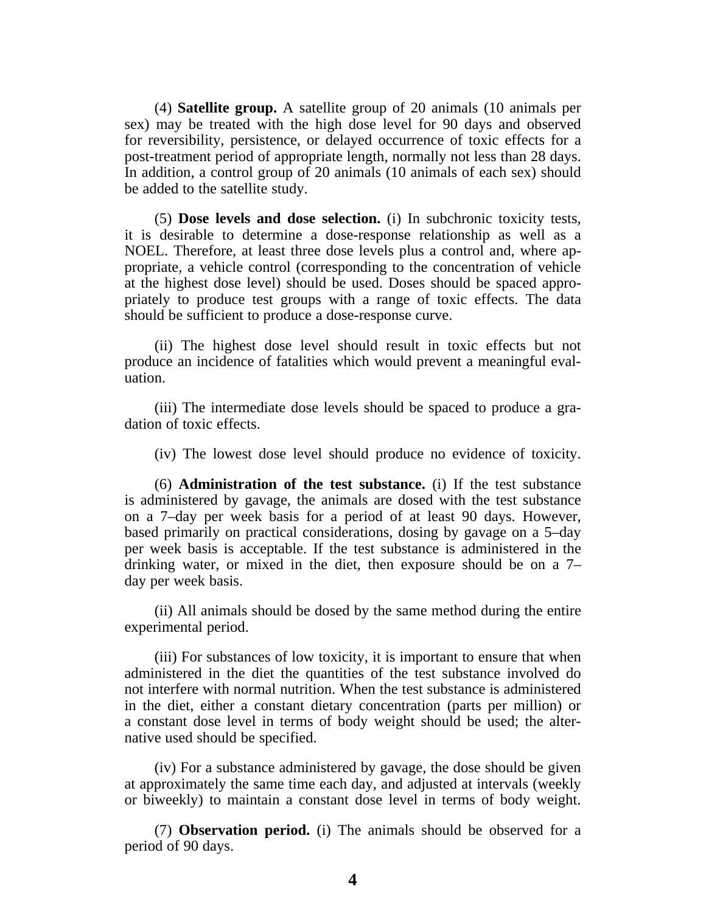(4) **Satellite group.** A satellite group of 20 animals (10 animals per sex) may be treated with the high dose level for 90 days and observed for reversibility, persistence, or delayed occurrence of toxic effects for a post-treatment period of appropriate length, normally not less than 28 days. In addition, a control group of 20 animals (10 animals of each sex) should be added to the satellite study.

(5) **Dose levels and dose selection.** (i) In subchronic toxicity tests, it is desirable to determine a dose-response relationship as well as a NOEL. Therefore, at least three dose levels plus a control and, where appropriate, a vehicle control (corresponding to the concentration of vehicle at the highest dose level) should be used. Doses should be spaced appropriately to produce test groups with a range of toxic effects. The data should be sufficient to produce a dose-response curve.

(ii) The highest dose level should result in toxic effects but not produce an incidence of fatalities which would prevent a meaningful evaluation.

(iii) The intermediate dose levels should be spaced to produce a gradation of toxic effects.

(iv) The lowest dose level should produce no evidence of toxicity.

(6) **Administration of the test substance.** (i) If the test substance is administered by gavage, the animals are dosed with the test substance on a 7–day per week basis for a period of at least 90 days. However, based primarily on practical considerations, dosing by gavage on a 5–day per week basis is acceptable. If the test substance is administered in the drinking water, or mixed in the diet, then exposure should be on a 7– day per week basis.

(ii) All animals should be dosed by the same method during the entire experimental period.

(iii) For substances of low toxicity, it is important to ensure that when administered in the diet the quantities of the test substance involved do not interfere with normal nutrition. When the test substance is administered in the diet, either a constant dietary concentration (parts per million) or a constant dose level in terms of body weight should be used; the alternative used should be specified.

(iv) For a substance administered by gavage, the dose should be given at approximately the same time each day, and adjusted at intervals (weekly or biweekly) to maintain a constant dose level in terms of body weight.

(7) **Observation period.** (i) The animals should be observed for a period of 90 days.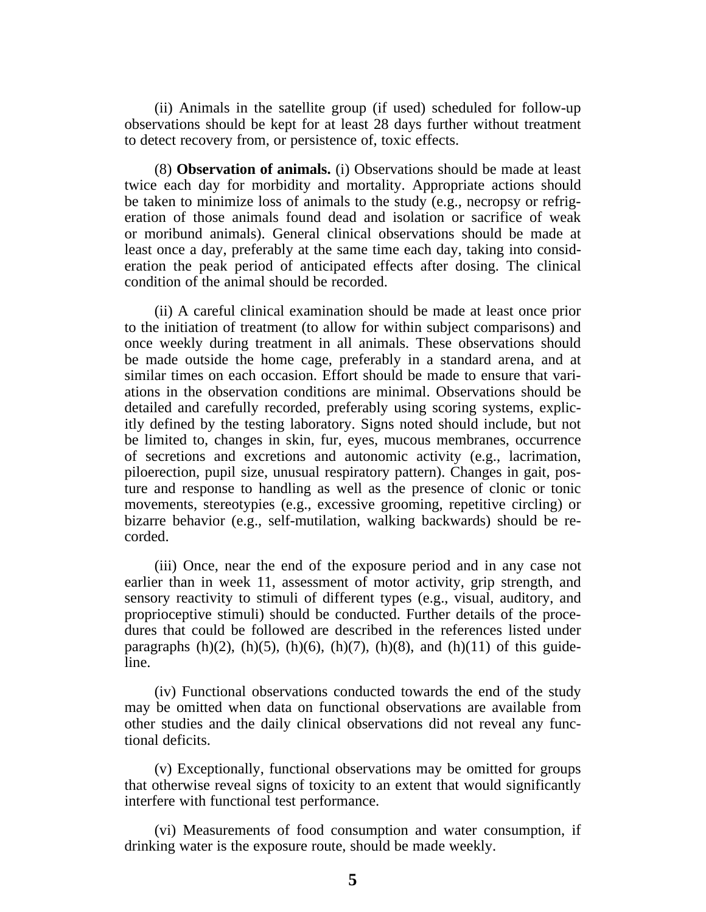(ii) Animals in the satellite group (if used) scheduled for follow-up observations should be kept for at least 28 days further without treatment to detect recovery from, or persistence of, toxic effects.

(8) **Observation of animals.** (i) Observations should be made at least twice each day for morbidity and mortality. Appropriate actions should be taken to minimize loss of animals to the study (e.g., necropsy or refrigeration of those animals found dead and isolation or sacrifice of weak or moribund animals). General clinical observations should be made at least once a day, preferably at the same time each day, taking into consideration the peak period of anticipated effects after dosing. The clinical condition of the animal should be recorded.

(ii) A careful clinical examination should be made at least once prior to the initiation of treatment (to allow for within subject comparisons) and once weekly during treatment in all animals. These observations should be made outside the home cage, preferably in a standard arena, and at similar times on each occasion. Effort should be made to ensure that variations in the observation conditions are minimal. Observations should be detailed and carefully recorded, preferably using scoring systems, explicitly defined by the testing laboratory. Signs noted should include, but not be limited to, changes in skin, fur, eyes, mucous membranes, occurrence of secretions and excretions and autonomic activity (e.g., lacrimation, piloerection, pupil size, unusual respiratory pattern). Changes in gait, posture and response to handling as well as the presence of clonic or tonic movements, stereotypies (e.g., excessive grooming, repetitive circling) or bizarre behavior (e.g., self-mutilation, walking backwards) should be recorded.

(iii) Once, near the end of the exposure period and in any case not earlier than in week 11, assessment of motor activity, grip strength, and sensory reactivity to stimuli of different types (e.g., visual, auditory, and proprioceptive stimuli) should be conducted. Further details of the procedures that could be followed are described in the references listed under paragraphs  $(h)(2)$ ,  $(h)(5)$ ,  $(h)(6)$ ,  $(h)(7)$ ,  $(h)(8)$ , and  $(h)(11)$  of this guideline.

(iv) Functional observations conducted towards the end of the study may be omitted when data on functional observations are available from other studies and the daily clinical observations did not reveal any functional deficits.

(v) Exceptionally, functional observations may be omitted for groups that otherwise reveal signs of toxicity to an extent that would significantly interfere with functional test performance.

(vi) Measurements of food consumption and water consumption, if drinking water is the exposure route, should be made weekly.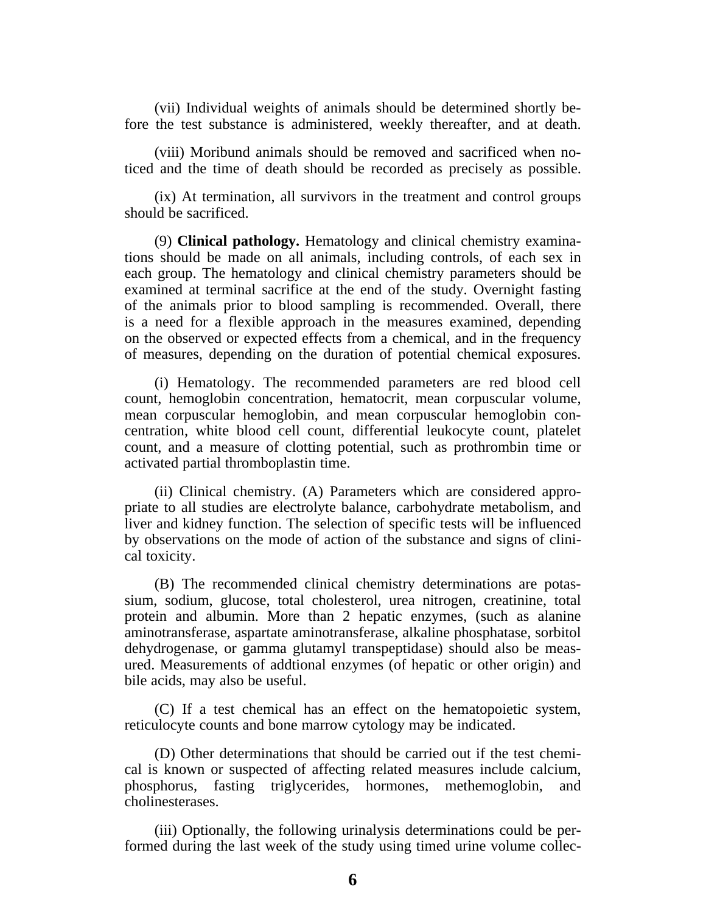(vii) Individual weights of animals should be determined shortly before the test substance is administered, weekly thereafter, and at death.

(viii) Moribund animals should be removed and sacrificed when noticed and the time of death should be recorded as precisely as possible.

(ix) At termination, all survivors in the treatment and control groups should be sacrificed.

(9) **Clinical pathology.** Hematology and clinical chemistry examinations should be made on all animals, including controls, of each sex in each group. The hematology and clinical chemistry parameters should be examined at terminal sacrifice at the end of the study. Overnight fasting of the animals prior to blood sampling is recommended. Overall, there is a need for a flexible approach in the measures examined, depending on the observed or expected effects from a chemical, and in the frequency of measures, depending on the duration of potential chemical exposures.

(i) Hematology. The recommended parameters are red blood cell count, hemoglobin concentration, hematocrit, mean corpuscular volume, mean corpuscular hemoglobin, and mean corpuscular hemoglobin concentration, white blood cell count, differential leukocyte count, platelet count, and a measure of clotting potential, such as prothrombin time or activated partial thromboplastin time.

(ii) Clinical chemistry. (A) Parameters which are considered appropriate to all studies are electrolyte balance, carbohydrate metabolism, and liver and kidney function. The selection of specific tests will be influenced by observations on the mode of action of the substance and signs of clinical toxicity.

(B) The recommended clinical chemistry determinations are potassium, sodium, glucose, total cholesterol, urea nitrogen, creatinine, total protein and albumin. More than 2 hepatic enzymes, (such as alanine aminotransferase, aspartate aminotransferase, alkaline phosphatase, sorbitol dehydrogenase, or gamma glutamyl transpeptidase) should also be measured. Measurements of addtional enzymes (of hepatic or other origin) and bile acids, may also be useful.

(C) If a test chemical has an effect on the hematopoietic system, reticulocyte counts and bone marrow cytology may be indicated.

(D) Other determinations that should be carried out if the test chemical is known or suspected of affecting related measures include calcium, phosphorus, fasting triglycerides, hormones, methemoglobin, and cholinesterases.

(iii) Optionally, the following urinalysis determinations could be performed during the last week of the study using timed urine volume collec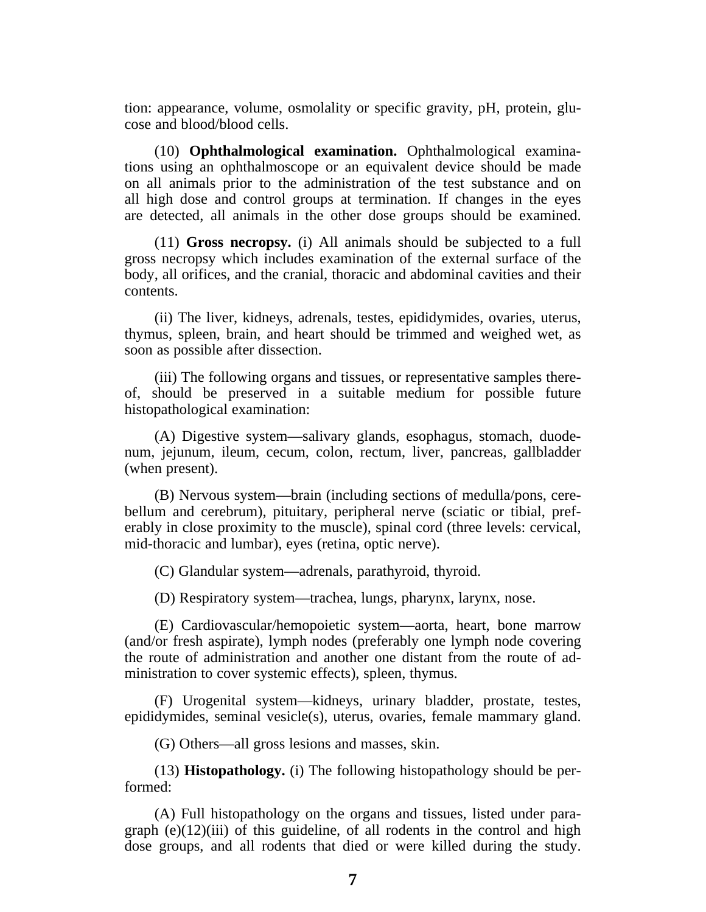tion: appearance, volume, osmolality or specific gravity, pH, protein, glucose and blood/blood cells.

(10) **Ophthalmological examination.** Ophthalmological examinations using an ophthalmoscope or an equivalent device should be made on all animals prior to the administration of the test substance and on all high dose and control groups at termination. If changes in the eyes are detected, all animals in the other dose groups should be examined.

(11) **Gross necropsy.** (i) All animals should be subjected to a full gross necropsy which includes examination of the external surface of the body, all orifices, and the cranial, thoracic and abdominal cavities and their contents.

(ii) The liver, kidneys, adrenals, testes, epididymides, ovaries, uterus, thymus, spleen, brain, and heart should be trimmed and weighed wet, as soon as possible after dissection.

(iii) The following organs and tissues, or representative samples thereof, should be preserved in a suitable medium for possible future histopathological examination:

(A) Digestive system—salivary glands, esophagus, stomach, duodenum, jejunum, ileum, cecum, colon, rectum, liver, pancreas, gallbladder (when present).

(B) Nervous system—brain (including sections of medulla/pons, cerebellum and cerebrum), pituitary, peripheral nerve (sciatic or tibial, preferably in close proximity to the muscle), spinal cord (three levels: cervical, mid-thoracic and lumbar), eyes (retina, optic nerve).

(C) Glandular system—adrenals, parathyroid, thyroid.

(D) Respiratory system—trachea, lungs, pharynx, larynx, nose.

(E) Cardiovascular/hemopoietic system—aorta, heart, bone marrow (and/or fresh aspirate), lymph nodes (preferably one lymph node covering the route of administration and another one distant from the route of administration to cover systemic effects), spleen, thymus.

(F) Urogenital system—kidneys, urinary bladder, prostate, testes, epididymides, seminal vesicle(s), uterus, ovaries, female mammary gland.

(G) Others—all gross lesions and masses, skin.

(13) **Histopathology.** (i) The following histopathology should be performed:

(A) Full histopathology on the organs and tissues, listed under paragraph  $(e)(12)(iii)$  of this guideline, of all rodents in the control and high dose groups, and all rodents that died or were killed during the study.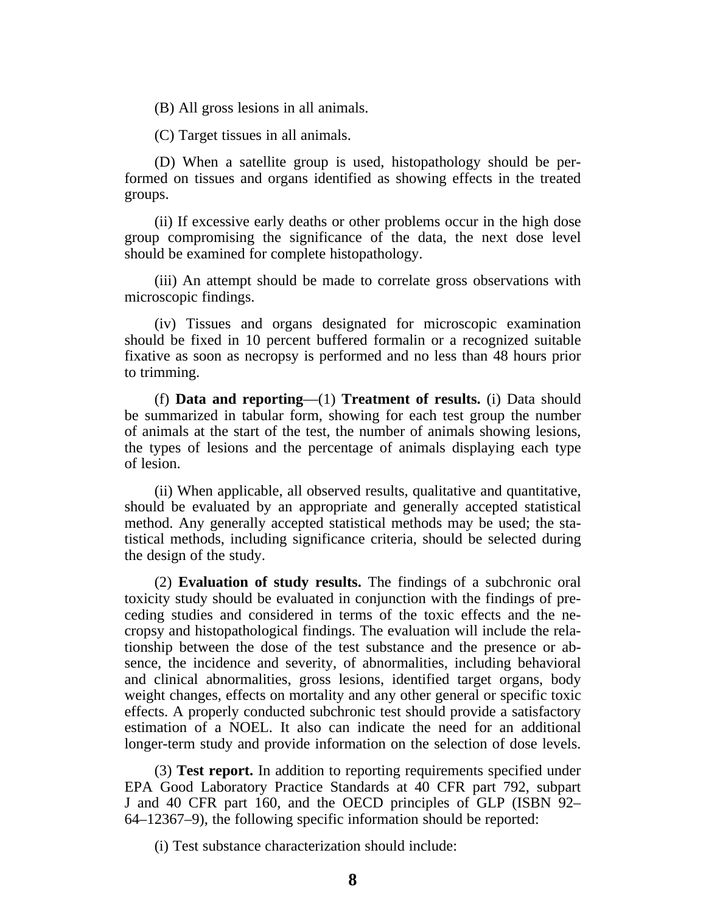(B) All gross lesions in all animals.

(C) Target tissues in all animals.

(D) When a satellite group is used, histopathology should be performed on tissues and organs identified as showing effects in the treated groups.

(ii) If excessive early deaths or other problems occur in the high dose group compromising the significance of the data, the next dose level should be examined for complete histopathology.

(iii) An attempt should be made to correlate gross observations with microscopic findings.

(iv) Tissues and organs designated for microscopic examination should be fixed in 10 percent buffered formalin or a recognized suitable fixative as soon as necropsy is performed and no less than 48 hours prior to trimming.

(f) **Data and reporting**—(1) **Treatment of results.** (i) Data should be summarized in tabular form, showing for each test group the number of animals at the start of the test, the number of animals showing lesions, the types of lesions and the percentage of animals displaying each type of lesion.

(ii) When applicable, all observed results, qualitative and quantitative, should be evaluated by an appropriate and generally accepted statistical method. Any generally accepted statistical methods may be used; the statistical methods, including significance criteria, should be selected during the design of the study.

(2) **Evaluation of study results.** The findings of a subchronic oral toxicity study should be evaluated in conjunction with the findings of preceding studies and considered in terms of the toxic effects and the necropsy and histopathological findings. The evaluation will include the relationship between the dose of the test substance and the presence or absence, the incidence and severity, of abnormalities, including behavioral and clinical abnormalities, gross lesions, identified target organs, body weight changes, effects on mortality and any other general or specific toxic effects. A properly conducted subchronic test should provide a satisfactory estimation of a NOEL. It also can indicate the need for an additional longer-term study and provide information on the selection of dose levels.

(3) **Test report.** In addition to reporting requirements specified under EPA Good Laboratory Practice Standards at 40 CFR part 792, subpart J and 40 CFR part 160, and the OECD principles of GLP (ISBN 92– 64–12367–9), the following specific information should be reported:

(i) Test substance characterization should include: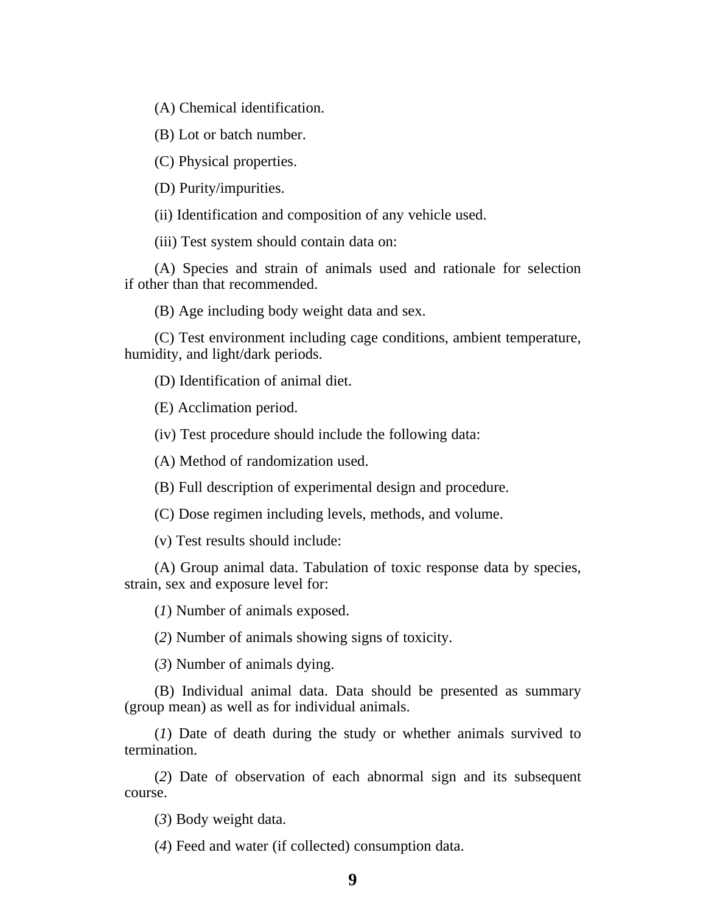(A) Chemical identification.

(B) Lot or batch number.

(C) Physical properties.

(D) Purity/impurities.

(ii) Identification and composition of any vehicle used.

(iii) Test system should contain data on:

(A) Species and strain of animals used and rationale for selection if other than that recommended.

(B) Age including body weight data and sex.

(C) Test environment including cage conditions, ambient temperature, humidity, and light/dark periods.

(D) Identification of animal diet.

(E) Acclimation period.

(iv) Test procedure should include the following data:

(A) Method of randomization used.

(B) Full description of experimental design and procedure.

(C) Dose regimen including levels, methods, and volume.

(v) Test results should include:

(A) Group animal data. Tabulation of toxic response data by species, strain, sex and exposure level for:

(*1*) Number of animals exposed.

(*2*) Number of animals showing signs of toxicity.

(*3*) Number of animals dying.

(B) Individual animal data. Data should be presented as summary (group mean) as well as for individual animals.

(*1*) Date of death during the study or whether animals survived to termination.

(*2*) Date of observation of each abnormal sign and its subsequent course.

(*3*) Body weight data.

(*4*) Feed and water (if collected) consumption data.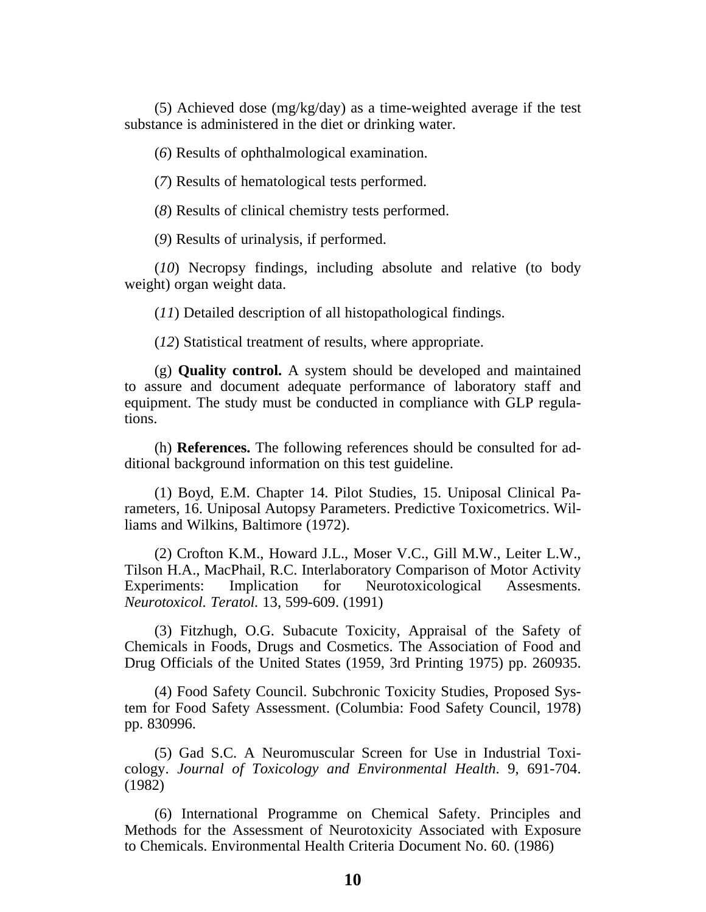(5) Achieved dose (mg/kg/day) as a time-weighted average if the test substance is administered in the diet or drinking water.

(*6*) Results of ophthalmological examination.

(*7*) Results of hematological tests performed.

(*8*) Results of clinical chemistry tests performed.

(*9*) Results of urinalysis, if performed.

(*10*) Necropsy findings, including absolute and relative (to body weight) organ weight data.

(*11*) Detailed description of all histopathological findings.

(*12*) Statistical treatment of results, where appropriate.

(g) **Quality control.** A system should be developed and maintained to assure and document adequate performance of laboratory staff and equipment. The study must be conducted in compliance with GLP regulations.

(h) **References.** The following references should be consulted for additional background information on this test guideline.

(1) Boyd, E.M. Chapter 14. Pilot Studies, 15. Uniposal Clinical Parameters, 16. Uniposal Autopsy Parameters. Predictive Toxicometrics. Williams and Wilkins, Baltimore (1972).

(2) Crofton K.M., Howard J.L., Moser V.C., Gill M.W., Leiter L.W., Tilson H.A., MacPhail, R.C. Interlaboratory Comparison of Motor Activity Experiments: Implication for Neurotoxicological Assesments. *Neurotoxicol. Teratol.* 13, 599-609. (1991)

(3) Fitzhugh, O.G. Subacute Toxicity, Appraisal of the Safety of Chemicals in Foods, Drugs and Cosmetics. The Association of Food and Drug Officials of the United States (1959, 3rd Printing 1975) pp. 260935.

(4) Food Safety Council. Subchronic Toxicity Studies, Proposed System for Food Safety Assessment. (Columbia: Food Safety Council, 1978) pp. 830996.

(5) Gad S.C. A Neuromuscular Screen for Use in Industrial Toxicology. *Journal of Toxicology and Environmental Health*. 9, 691-704. (1982)

(6) International Programme on Chemical Safety. Principles and Methods for the Assessment of Neurotoxicity Associated with Exposure to Chemicals. Environmental Health Criteria Document No. 60. (1986)